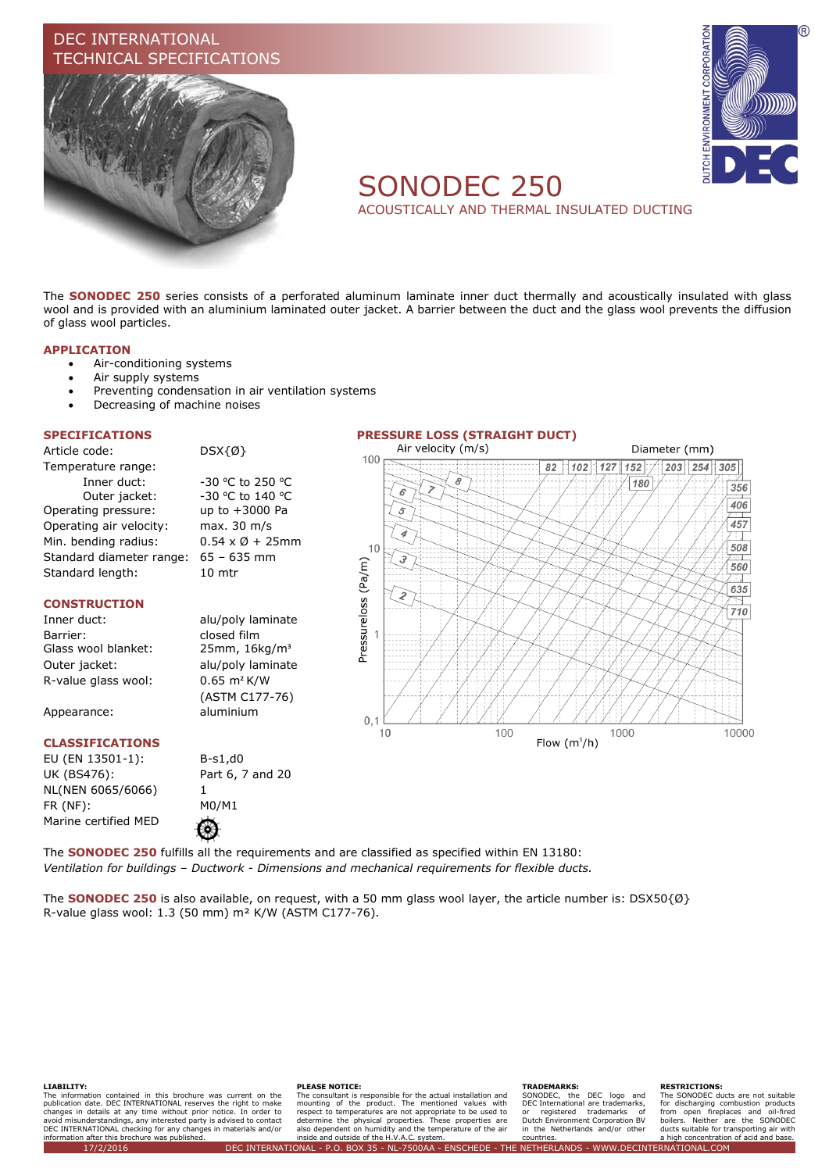# DEC INTERNATIONAL CHNICAL SPECIFICATIONS





# SONODEC 250

ACOUSTICALLY AND THERMAL INSULATED DUCTING

The **SONODEC 250** series consists of a perforated aluminum laminate inner duct thermally and acoustically insulated with glass wool and is provided with an aluminium laminated outer jacket. A barrier between the duct and the glass wool prevents the diffusion of glass wool particles.

### **APPLICATION**

- Air-conditioning systems
- Air supply systems
- Preventing condensation in air ventilation systems
- Decreasing of machine noises

Article code: DSX{Ø} Temperature range: Inner duct: -30 °C to 250 °C Outer jacket: -30 °C to 140 °C Operating pressure: up to +3000 Pa Operating air velocity: max. 30 m/s Min. bending radius:  $0.54 \times \emptyset + 25$ mm Standard diameter range: 65 – 635 mm Standard length: 10 mtr

### **CONSTRUCTION**

Barrier: closed film<br>Glass wool blanket: 25mm, 16kg/m<sup>3</sup> Glass wool blanket: Outer jacket: alu/poly laminate R-value glass wool: 0.65 m² K/W

Appearance: aluminium

### **CLASSIFICATIONS**

EU (EN 13501-1): B-s1,d0 UK (BS476): Part 6, 7 and 20 NL(NEN 6065/6066) 1 FR (NF): M0/M1 Marine certified MED

Inner duct: alu/poly laminate (ASTM C177-76)

⊛



The **SONODEC 250** fulfills all the requirements and are classified as specified within EN 13180: *Ventilation for buildings – Ductwork - Dimensions and mechanical requirements for flexible ducts.*

The **SONODEC 250** is also available, on request, with a 50 mm glass wool layer, the article number is: DSX50{Ø} R-value glass wool: 1.3 (50 mm) m² K/W (ASTM C177-76).

#### **LIABILITY:**

The information contained in this brochure was current on the publication date. DEC INTERNATIONAL reserves the right to make<br>changes in details at any time without prior notice. In order to<br>avoid misunderstandings, any interested party is advised to contact<br>DEC INTERNATIONAL checking information after this brochure was published.

#### **PLEASE NOTICE:**

The consultant is responsible for the actual installation and mounting of the product. The mentioned values with<br>respect to temperatures are not appropriate to be used to<br>determine the physical properties. These properties are<br>also dependent on humidity and the temperature of the air inside and outside of the H.V.A.C. system.

#### **TRADEMARKS:**

SONODEC, the DEC logo and DEC International are trademarks, or registered trademarks of Dutch Environment Corporation BV in the Netherlands and/or other countries.

#### **RESTRICTIONS:**

The SONODEC ducts are not suitable for discharging combustion products from open fireplaces and oil-fired boilers. Neither are the SONODEC ducts suitable for transporting air with a high concentration of acid and base. 17/2/2016 DEC INTERNATIONAL - P.O. BOX 35 - NL-7500AA - ENSCHEDE - THE NETHERLANDS - WWW.DECINTERNATIONAL.COM